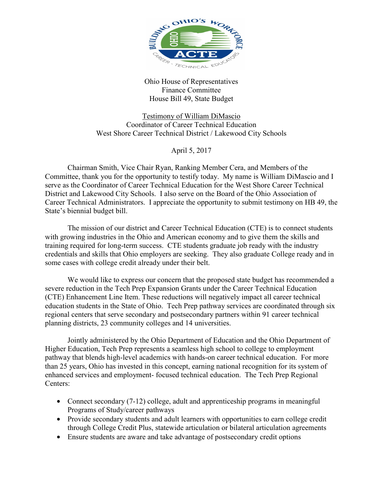

Ohio House of Representatives Finance Committee House Bill 49, State Budget

Testimony of William DiMascio Coordinator of Career Technical Education West Shore Career Technical District / Lakewood City Schools

April 5, 2017

 Chairman Smith, Vice Chair Ryan, Ranking Member Cera, and Members of the Committee, thank you for the opportunity to testify today. My name is William DiMascio and I serve as the Coordinator of Career Technical Education for the West Shore Career Technical District and Lakewood City Schools. I also serve on the Board of the Ohio Association of Career Technical Administrators. I appreciate the opportunity to submit testimony on HB 49, the State's biennial budget bill.

 The mission of our district and Career Technical Education (CTE) is to connect students with growing industries in the Ohio and American economy and to give them the skills and training required for long-term success. CTE students graduate job ready with the industry credentials and skills that Ohio employers are seeking. They also graduate College ready and in some cases with college credit already under their belt.

 We would like to express our concern that the proposed state budget has recommended a severe reduction in the Tech Prep Expansion Grants under the Career Technical Education (CTE) Enhancement Line Item. These reductions will negatively impact all career technical education students in the State of Ohio. Tech Prep pathway services are coordinated through six regional centers that serve secondary and postsecondary partners within 91 career technical planning districts, 23 community colleges and 14 universities.

 Jointly administered by the Ohio Department of Education and the Ohio Department of Higher Education, Tech Prep represents a seamless high school to college to employment pathway that blends high-level academics with hands-on career technical education. For more than 25 years, Ohio has invested in this concept, earning national recognition for its system of enhanced services and employment- focused technical education. The Tech Prep Regional Centers:

- Connect secondary (7-12) college, adult and apprenticeship programs in meaningful Programs of Study/career pathways
- Provide secondary students and adult learners with opportunities to earn college credit through College Credit Plus, statewide articulation or bilateral articulation agreements
- Ensure students are aware and take advantage of postsecondary credit options